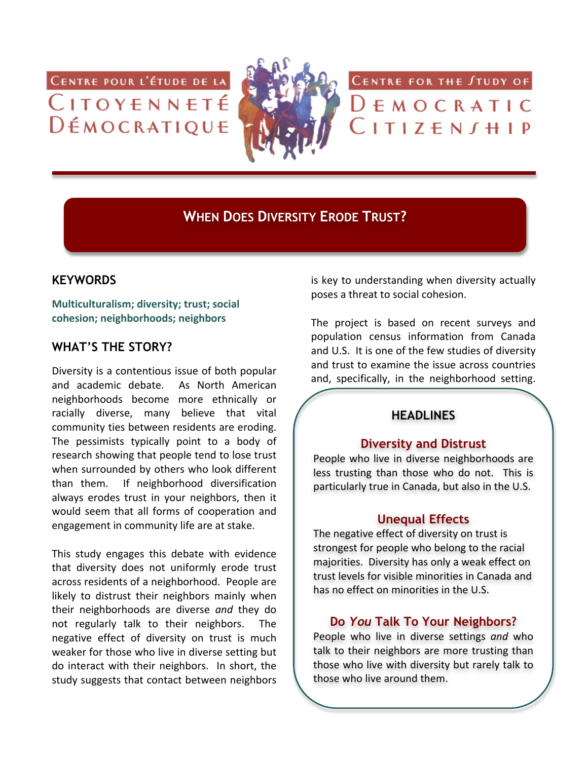CENTRE POUR L'ÉTUDE DE LA CITOYENNETÉ DÉMOCRATIQUE



# **WHEN DOES DIVERSITY ERODE TRUST?**

#### **KEYWORDS**

**Multiculturalism; diversity; trust; social cohesion;,neighborhoods;,neighbors**

# **WHAT'S THE STORY?**

Diversity is a contentious issue of both popular and academic debate. As North American neighborhoods become more ethnically or racially diverse, many believe that vital community ties between residents are eroding. The pessimists typically point to a body of research showing that people tend to lose trust when surrounded by others who look different than them. If neighborhood diversification always erodes trust in your neighbors, then it would seem that all forms of cooperation and engagement in community life are at stake.

This study engages this debate with evidence that diversity does not uniformly erode trust across residents of a neighborhood. People are likely to distrust their neighbors mainly when their) neighborhoods) are) diverse) *and\$* they) do) not regularly talk to their neighbors. The negative effect of diversity on trust is much weaker for those who live in diverse setting but do interact with their neighbors. In short, the study suggests that contact between neighbors

is key to understanding when diversity actually poses a threat to social cohesion.

CENTRE FOR THE STUDY OF

 $D$   $F$   $M$   $O$   $C$   $R$   $A$   $T$   $I$   $C$ 

 $L$ ITIZEN $J$ HIP

The project is based on recent surveys and population census information from Canada and U.S. It is one of the few studies of diversity and trust to examine the issue across countries and, specifically, in the neighborhood setting.

# **HEADLINES**

#### **Diversity and Distrust**

People who live in diverse neighborhoods are less trusting than those who do not. This is particularly true in Canada, but also in the U.S.

#### **Unequal Effects**

The negative effect of diversity on trust is strongest for people who belong to the racial majorities. Diversity has only a weak effect on trust levels for visible minorities in Canada and has no effect on minorities in the U.S.

# **Do** *You* **Talk To Your Neighbors?**

People who live in diverse settings and who talk to their neighbors are more trusting than those who live with diversity but rarely talk to those who live around them.